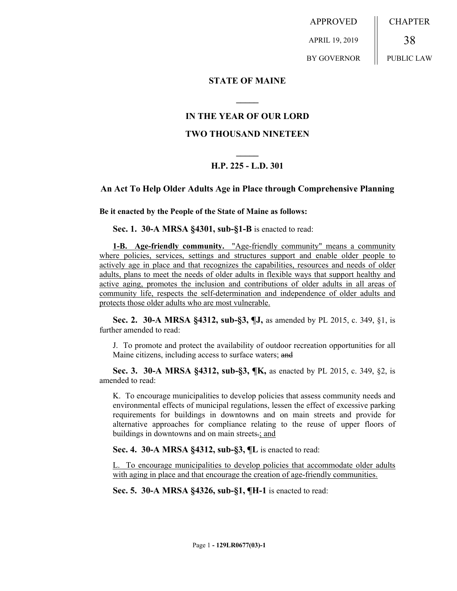APPROVED APRIL 19, 2019 BY GOVERNOR **CHAPTER** 38 PUBLIC LAW

**STATE OF MAINE**

## **IN THE YEAR OF OUR LORD**

**\_\_\_\_\_**

## **TWO THOUSAND NINETEEN**

## **\_\_\_\_\_ H.P. 225 - L.D. 301**

## **An Act To Help Older Adults Age in Place through Comprehensive Planning**

**Be it enacted by the People of the State of Maine as follows:**

**Sec. 1. 30-A MRSA §4301, sub-§1-B** is enacted to read:

**1-B. Age-friendly community.** "Age-friendly community" means a community where policies, services, settings and structures support and enable older people to actively age in place and that recognizes the capabilities, resources and needs of older adults, plans to meet the needs of older adults in flexible ways that support healthy and active aging, promotes the inclusion and contributions of older adults in all areas of community life, respects the self-determination and independence of older adults and protects those older adults who are most vulnerable.

**Sec. 2. 30-A MRSA §4312, sub-§3, ¶J,** as amended by PL 2015, c. 349, §1, is further amended to read:

J. To promote and protect the availability of outdoor recreation opportunities for all Maine citizens, including access to surface waters; and

**Sec. 3. 30-A MRSA §4312, sub-§3, ¶K,** as enacted by PL 2015, c. 349, §2, is amended to read:

K. To encourage municipalities to develop policies that assess community needs and environmental effects of municipal regulations, lessen the effect of excessive parking requirements for buildings in downtowns and on main streets and provide for alternative approaches for compliance relating to the reuse of upper floors of buildings in downtowns and on main streets.; and

**Sec. 4. 30-A MRSA §4312, sub-§3, ¶L** is enacted to read:

L. To encourage municipalities to develop policies that accommodate older adults with aging in place and that encourage the creation of age-friendly communities.

**Sec. 5. 30-A MRSA §4326, sub-§1, ¶H-1** is enacted to read: